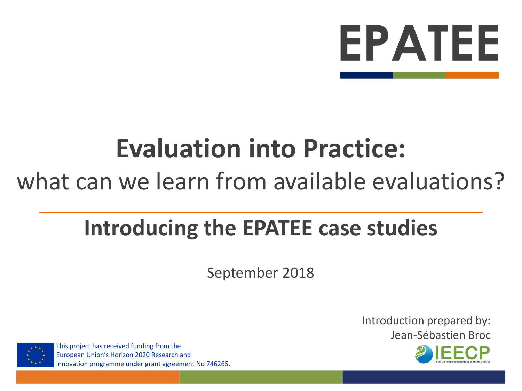

# **Evaluation into Practice:**

# what can we learn from available evaluations?

# **Introducing the EPATEE case studies**

September 2018

Introduction prepared by: Jean-Sébastien Broc





This project has received funding from the European Union's Horizon 2020 Research and innovation programme under grant agreement No 746265.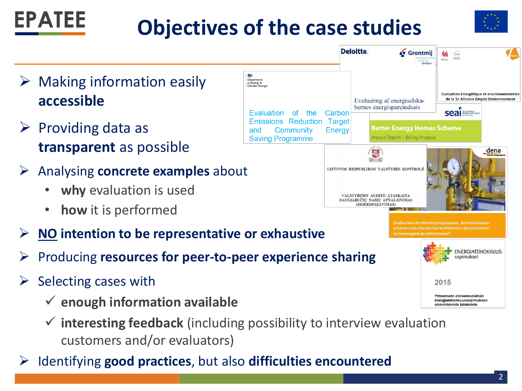# **Objectives of the case studies**





- **interesting feedback** (including possibility to interview evaluation customers and/or evaluators)
- Identifying **good practices**, but also **difficulties encountered**

**EPATEE**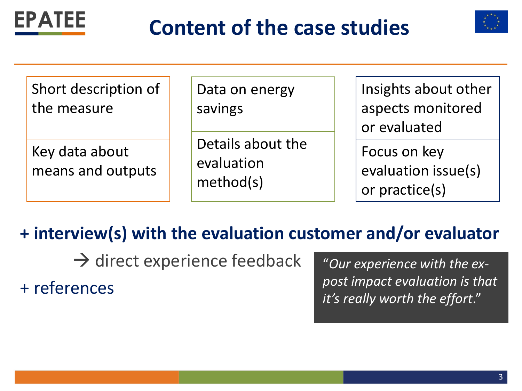

## **Content of the case studies**



Short description of the measure

Key data about means and outputs Data on energy savings

Details about the evaluation method(s)

Insights about other aspects monitored or evaluated

Focus on key evaluation issue(s) or practice(s)

### **+ interview(s) with the evaluation customer and/or evaluator**

 $\rightarrow$  direct experience feedback

+ references

"*Our experience with the expost impact evaluation is that it's really worth the effort*."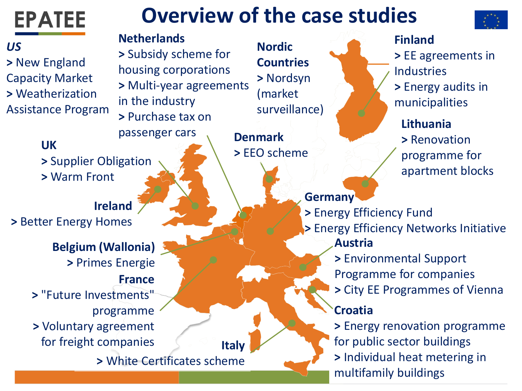

Industries

**>** Energy audits in municipalities

#### **Lithuania**

**>** Renovation programme for apartment blocks

- **>** Energy Efficiency Networks Initiative
	- **>** Environmental Support
	- Programme for companies
	- **>** City EE Programmes of Vienna

**>** Energy renovation programme for public sector buildings **>** Individual heat metering in multifamily buildings